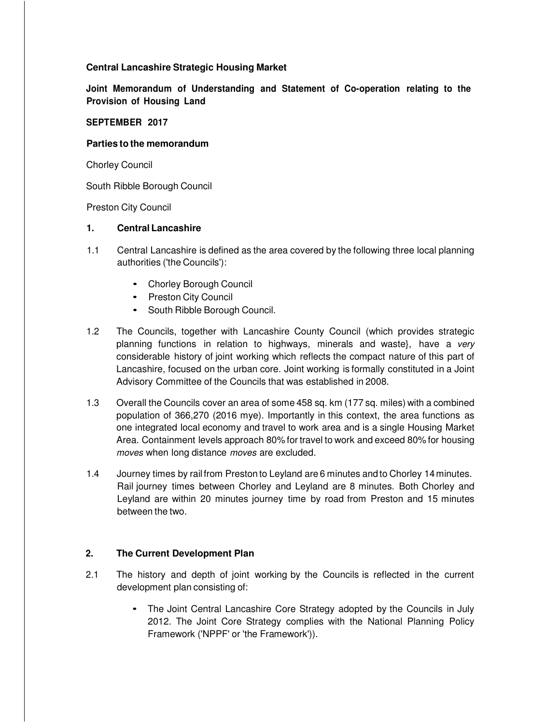# **Central Lancashire Strategic Housing Market**

**Joint Memorandum of Understanding and Statement of Co-operation relating to the Provision of Housing Land**

# **SEPTEMBER 2017**

### **Parties to the memorandum**

Chorley Council

South Ribble Borough Council

Preston City Council

### **1. Central Lancashire**

- 1.1 Central Lancashire is defined as the area covered by the following three local planning authorities ('the Councils'):
	- Chorley Borough Council
	- Preston City Council
	- South Ribble Borough Council.
- 1.2 The Councils, together with Lancashire County Council (which provides strategic planning functions in relation to highways, minerals and waste}, have a very considerable history of joint working which reflects the compact nature of this part of Lancashire, focused on the urban core. Joint working is formally constituted in a Joint Advisory Committee of the Councils that was established in 2008.
- 1.3 Overall the Councils cover an area of some 458 sq. km (177 sq. miles) with a combined population of 366,270 (2016 mye). Importantly in this context, the area functions as one integrated local economy and travel to work area and is a single Housing Market Area. Containment levels approach 80% for travel to work and exceed 80% for housing moves when long distance moves are excluded.
- 1.4 Journey times by rail from Preston to Leyland are 6 minutes and to Chorley 14 minutes. Rail journey times between Chorley and Leyland are 8 minutes. Both Chorley and Leyland are within 20 minutes journey time by road from Preston and 15 minutes between the two.

# **2. The Current Development Plan**

- 2.1 The history and depth of joint working by the Councils is reflected in the current development plan consisting of:
	- The Joint Central Lancashire Core Strategy adopted by the Councils in July 2012. The Joint Core Strategy complies with the National Planning Policy Framework ('NPPF' or 'the Framework')).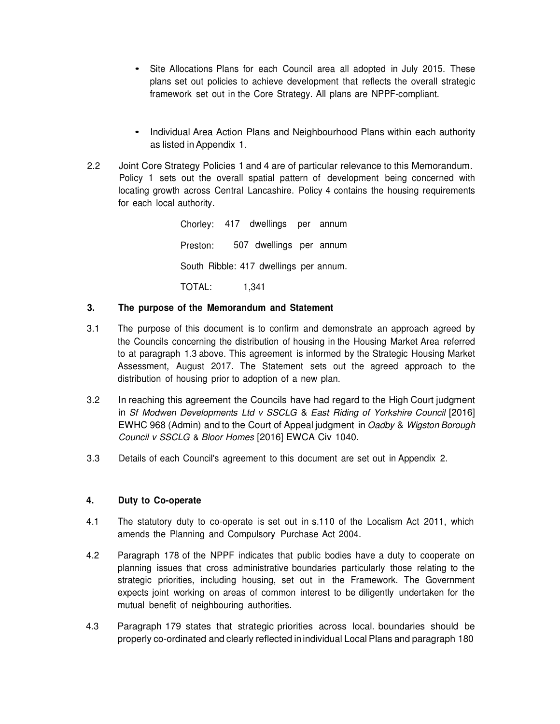- Site Allocations Plans for each Council area all adopted in July 2015. These plans set out policies to achieve development that reflects the overall strategic framework set out in the Core Strategy. All plans are NPPF-compliant.
- Individual Area Action Plans and Neighbourhood Plans within each authority as listed in Appendix 1.
- 2.2 Joint Core Strategy Policies 1 and 4 are of particular relevance to this Memorandum. Policy 1 sets out the overall spatial pattern of development being concerned with locating growth across Central Lancashire. Policy 4 contains the housing requirements for each local authority.

Chorley: 417 dwellings per annum Preston: 507 dwellings per annum South Ribble: 417 dwellings per annum. TOTAL: 1,341

# **3. The purpose of the Memorandum and Statement**

- 3.1 The purpose of this document is to confirm and demonstrate an approach agreed by the Councils concerning the distribution of housing in the Housing Market Area referred to at paragraph 1.3 above. This agreement is informed by the Strategic Housing Market Assessment, August 2017. The Statement sets out the agreed approach to the distribution of housing prior to adoption of a new plan.
- 3.2 In reaching this agreement the Councils have had regard to the High Court judgment in Sf Modwen Developments Ltd v SSCLG & East Riding of Yorkshire Council [2016] EWHC 968 (Admin) and to the Court of Appeal judgment in Oadby & Wigston Borough Council v SSCLG & Bloor Homes [2016] EWCA Civ 1040.
- 3.3 Details of each Council's agreement to this document are set out in Appendix 2.

# **4. Duty to Co-operate**

- 4.1 The statutory duty to co-operate is set out in s.110 of the Localism Act 2011, which amends the Planning and Compulsory Purchase Act 2004.
- 4.2 Paragraph 178 of the NPPF indicates that public bodies have a duty to cooperate on planning issues that cross administrative boundaries particularly those relating to the strategic priorities, including housing, set out in the Framework. The Government expects joint working on areas of common interest to be diligently undertaken for the mutual benefit of neighbouring authorities.
- 4.3 Paragraph 179 states that strategic priorities across local. boundaries should be properly co-ordinated and clearly reflected in individual Local Plans and paragraph 180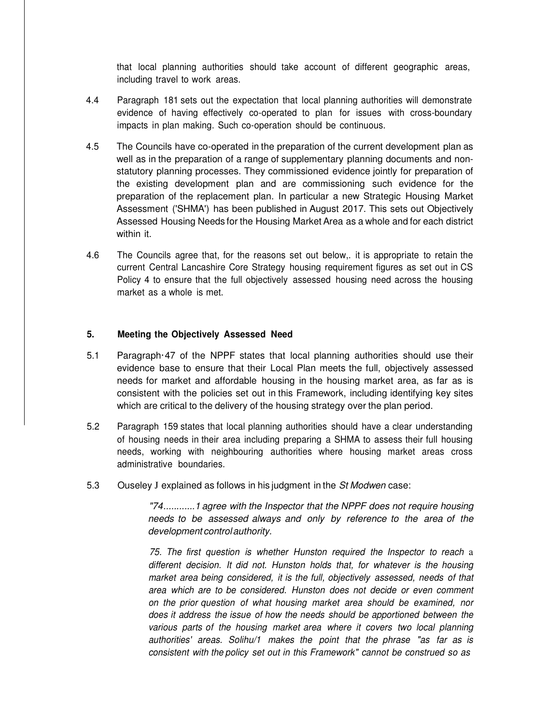that local planning authorities should take account of different geographic areas, including travel to work areas.

- 4.4 Paragraph 181 sets out the expectation that local planning authorities will demonstrate evidence of having effectively co-operated to plan for issues with cross-boundary impacts in plan making. Such co-operation should be continuous.
- 4.5 The Councils have co-operated in the preparation of the current development plan as well as in the preparation of a range of supplementary planning documents and nonstatutory planning processes. They commissioned evidence jointly for preparation of the existing development plan and are commissioning such evidence for the preparation of the replacement plan. In particular a new Strategic Housing Market Assessment ('SHMA') has been published in August 2017. This sets out Objectively Assessed Housing Needs for the Housing Market Area as a whole and for each district within it.
- 4.6 The Councils agree that, for the reasons set out below,. it is appropriate to retain the current Central Lancashire Core Strategy housing requirement figures as set out in CS Policy 4 to ensure that the full objectively assessed housing need across the housing market as a whole is met.

### **5. Meeting the Objectively Assessed Need**

- 5.1 Paragraph·47 of the NPPF states that local planning authorities should use their evidence base to ensure that their Local Plan meets the full, objectively assessed needs for market and affordable housing in the housing market area, as far as is consistent with the policies set out in this Framework, including identifying key sites which are critical to the delivery of the housing strategy over the plan period.
- 5.2 Paragraph 159 states that local planning authorities should have a clear understanding of housing needs in their area including preparing a SHMA to assess their full housing needs, working with neighbouring authorities where housing market areas cross administrative boundaries.
- 5.3 Ouseley J explained as follows in his judgment in the St Modwen case:

"74............1 agree with the Inspector that the NPPF does not require housing needs to be assessed always and only by reference to the area of the development control authority.

75. The first question is whether Hunston required the Inspector to reach a different decision. It did not. Hunston holds that, for whatever is the housing market area being considered, it is the full, objectively assessed, needs of that area which are to be considered. Hunston does not decide or even comment on the prior question of what housing market area should be examined, nor does it address the issue of how the needs should be apportioned between the various parts of the housing market area where it covers two local planning authorities' areas. Solihu/1 makes the point that the phrase "as far as is consistent with the policy set out in this Framework" cannot be construed so as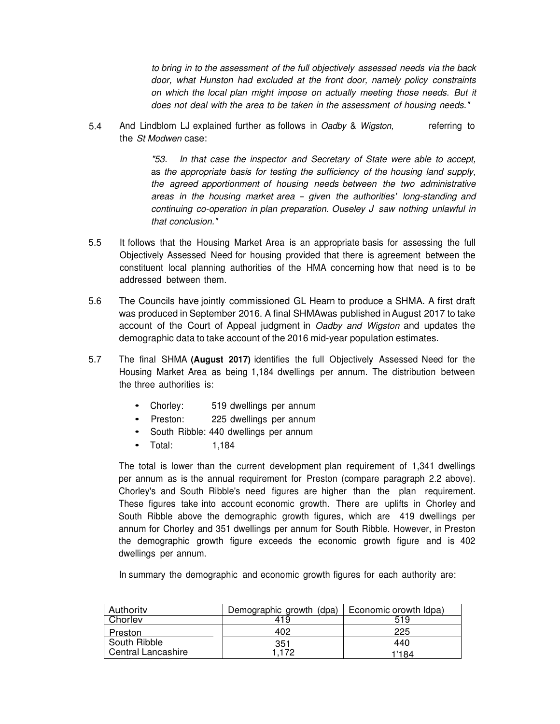to bring in to the assessment of the full objectively assessed needs via the back door, what Hunston had excluded at the front door, namely policy constraints on which the local plan might impose on actually meeting those needs. But it does not deal with the area to be taken in the assessment of housing needs."

5.4 And Lindblom LJ explained further as follows in Oadby & Wigston, the St Modwen case: referring to

> "53. In that case the inspector and Secretary of State were able to accept, as the appropriate basis for testing the sufficiency of the housing land supply, the agreed apportionment of housing needs between the two administrative areas in the housing market area - given the authorities' long-standing and continuing co-operation in plan preparation. Ouseley J saw nothing unlawful in that conclusion."

- 5.5 It follows that the Housing Market Area is an appropriate basis for assessing the full Objectively Assessed Need for housing provided that there is agreement between the constituent local planning authorities of the HMA concerning how that need is to be addressed between them.
- 5.6 The Councils have jointly commissioned GL Hearn to produce a SHMA. A first draft was produced in September 2016. A final SHMAwas published in August 2017 to take account of the Court of Appeal judgment in Oadby and Wigston and updates the demographic data to take account of the 2016 mid-year population estimates.
- 5.7 The final SHMA **(August 2017)** identifies the full Objectively Assessed Need for the Housing Market Area as being 1,184 dwellings per annum. The distribution between the three authorities is:
	- Chorley: 519 dwellings per annum
	- Preston: 225 dwellings per annum
	- South Ribble: 440 dwellings per annum
	- Total: 1,184

The total is lower than the current development plan requirement of 1,341 dwellings per annum as is the annual requirement for Preston (compare paragraph 2.2 above). Chorley's and South Ribble's need figures are higher than the plan requirement. These figures take into account economic growth. There are uplifts in Chorley and South Ribble above the demographic growth figures, which are 419 dwellings per annum for Chorley and 351 dwellings per annum for South Ribble. However, in Preston the demographic growth figure exceeds the economic growth figure and is 402 dwellings per annum.

In summary the demographic and economic growth figures for each authority are:

| Authority                 | Demographic growth (dpa)   Economic orowth Idpa) |       |
|---------------------------|--------------------------------------------------|-------|
| Chorlev                   | 419                                              | 519   |
| Preston                   | 402                                              | 225   |
| South Ribble              | 351                                              | 440   |
| <b>Central Lancashire</b> | 1.172                                            | 1'184 |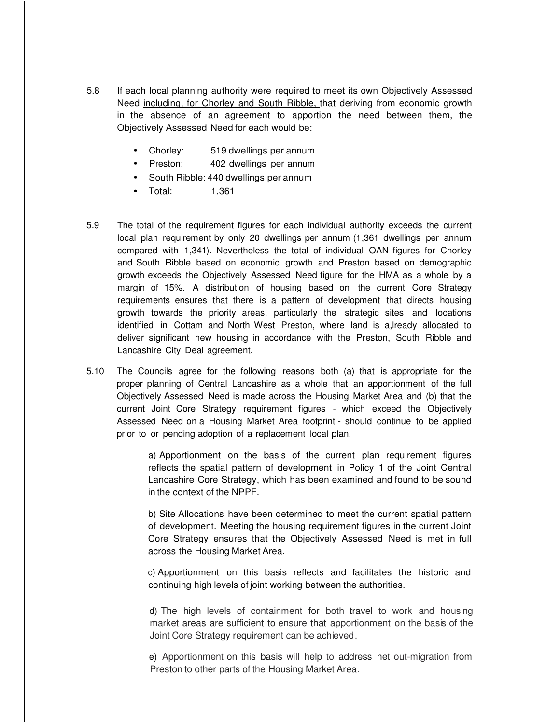- 5.8 If each local planning authority were required to meet its own Objectively Assessed Need including, for Chorley and South Ribble, that deriving from economic growth in the absence of an agreement to apportion the need between them, the Objectively Assessed Need for each would be:
	- Chorley: 519 dwellings per annum
	- Preston: 402 dwellings per annum
	- South Ribble: 440 dwellings per annum
	- Total: 1,361
- 5.9 The total of the requirement figures for each individual authority exceeds the current local plan requirement by only 20 dwellings per annum (1,361 dwellings per annum compared with 1,341). Nevertheless the total of individual OAN figures for Chorley and South Ribble based on economic growth and Preston based on demographic growth exceeds the Objectively Assessed Need figure for the HMA as a whole by a margin of 15%. A distribution of housing based on the current Core Strategy requirements ensures that there is a pattern of development that directs housing growth towards the priority areas, particularly the strategic sites and locations identified in Cottam and North West Preston, where land is a,lready allocated to deliver significant new housing in accordance with the Preston, South Ribble and Lancashire City Deal agreement.
- 5.10 The Councils agree for the following reasons both (a) that is appropriate for the proper planning of Central Lancashire as a whole that an apportionment of the full Objectively Assessed Need is made across the Housing Market Area and (b) that the current Joint Core Strategy requirement figures - which exceed the Objectively Assessed Need on a Housing Market Area footprint - should continue to be applied prior to or pending adoption of a replacement local plan.

a) Apportionment on the basis of the current plan requirement figures reflects the spatial pattern of development in Policy 1 of the Joint Central Lancashire Core Strategy, which has been examined and found to be sound in the context of the NPPF.

b) Site Allocations have been determined to meet the current spatial pattern of development. Meeting the housing requirement figures in the current Joint Core Strategy ensures that the Objectively Assessed Need is met in full across the Housing Market Area.

c) Apportionment on this basis reflects and facilitates the historic and continuing high levels of joint working between the authorities.

d) The high levels of containment for both travel to work and housing market areas are sufficient to ensure that apportionment on the basis of the Joint Core Strategy requirement can be achieved.

e) Apportionment on this basis will help to address net out-migration from Preston to other parts of the Housing Market Area .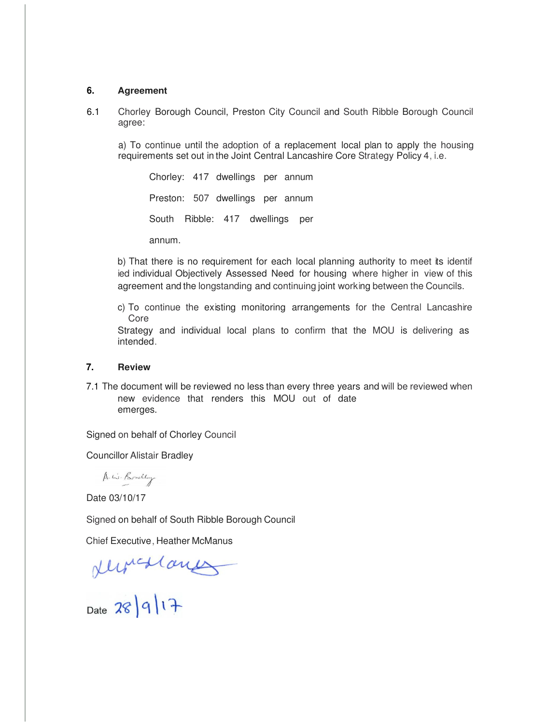### **6. Agreement**

6.1 Chorley Borough Council, Preston City Council and South Ribble Borough Council agree:

a) To continue until the adoption of a replacement local plan to apply the housing requirements set out in the Joint Central Lancashire Core Strategy Policy 4, i.e.

Chorley: 417 dwellings per annum Preston: 507 dwellings per annum South Ribble: 417 dwellings per annum.

b) That there is no requirement for each local planning authority to meet its identif ied individual Objectively Assessed Need for housing where higher in view of this agreement and the longstanding and continuing joint working between the Councils.

c) To continue the existing monitoring arrangements for the Central Lancashire Core

Strategy and individual local plans to confirm that the MOU is delivering as intended.

### **7. Review**

7.1 The document will be reviewed no less than every three years and will be reviewed when new evidence that renders this MOU out of date emerges.

Signed on behalf of Chorley Council

Councillor Alistair Bradley

A. W. Bradley

Date 03/10/17

Signed on behalf of South Ribble Borough Council

Chief Executive, Heather McManus

 $ellipticalang  
Date 28|9|17$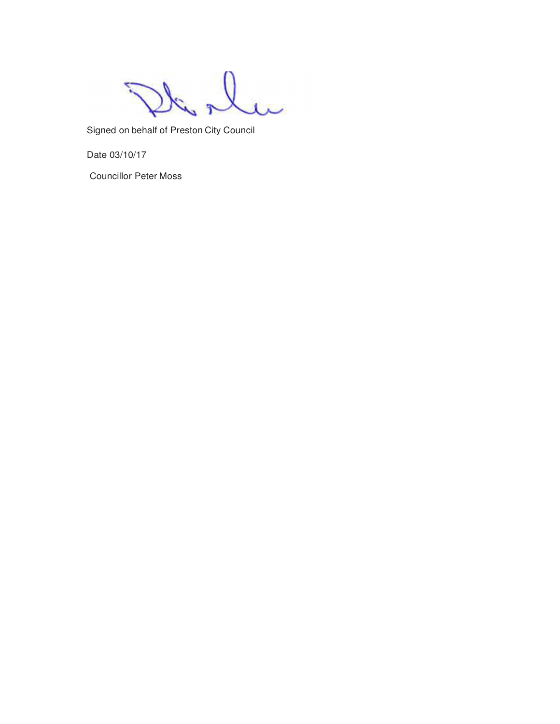Signed on behalf of Preston City Council

Date 03/10/17

Councillor Peter Moss